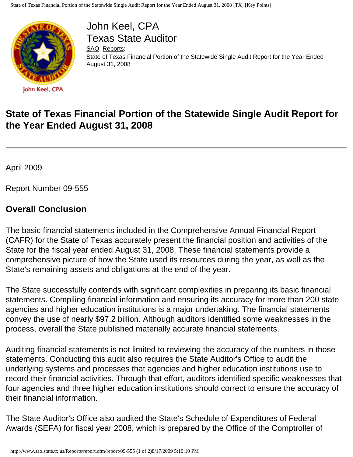

John Keel, CPA Texas State Auditor

[SAO](http://www.sao.state.tx.us/): [Reports:](http://www.sao.state.tx.us/Reports/) State of Texas Financial Portion of the Statewide Single Audit Report for the Year Ended August 31, 2008

## **State of Texas Financial Portion of the Statewide Single Audit Report for the Year Ended August 31, 2008**

April 2009

Report Number 09-555

## **Overall Conclusion**

The basic financial statements included in the Comprehensive Annual Financial Report (CAFR) for the State of Texas accurately present the financial position and activities of the State for the fiscal year ended August 31, 2008. These financial statements provide a comprehensive picture of how the State used its resources during the year, as well as the State's remaining assets and obligations at the end of the year.

The State successfully contends with significant complexities in preparing its basic financial statements. Compiling financial information and ensuring its accuracy for more than 200 state agencies and higher education institutions is a major undertaking. The financial statements convey the use of nearly \$97.2 billion. Although auditors identified some weaknesses in the process, overall the State published materially accurate financial statements.

Auditing financial statements is not limited to reviewing the accuracy of the numbers in those statements. Conducting this audit also requires the State Auditor's Office to audit the underlying systems and processes that agencies and higher education institutions use to record their financial activities. Through that effort, auditors identified specific weaknesses that four agencies and three higher education institutions should correct to ensure the accuracy of their financial information.

The State Auditor's Office also audited the State's Schedule of Expenditures of Federal Awards (SEFA) for fiscal year 2008, which is prepared by the Office of the Comptroller of